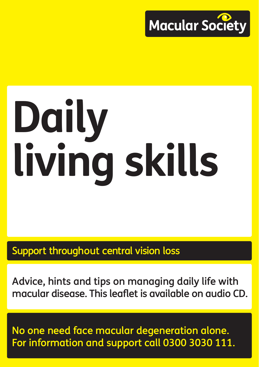

# **Daily living skills**

Support throughout central vision loss

Advice, hints and tips on managing daily life with macular disease. This leaflet is available on audio CD.

No one need face macular degeneration alone. For information and support call 0300 3030 111.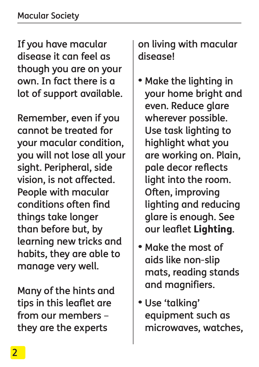If you have macular disease it can feel as though you are on your own. In fact there is a lot of support available.

Remember, even if you cannot be treated for your macular condition, you will not lose all your sight. Peripheral, side vision, is not affected. People with macular conditions often find things take longer than before but, by learning new tricks and habits, they are able to manage very well.

Many of the hints and tips in this leaflet are from our members – they are the experts

on living with macular disease!

- Make the lighting in your home bright and even. Reduce glare wherever possible. Use task lighting to highlight what you are working on. Plain, pale decor reflects light into the room. Often, improving lighting and reducing glare is enough. See our leaflet Lighting.
- Make the most of aids like non-slip mats, reading stands and magnifiers.
- Use 'talking' equipment such as microwaves, watches,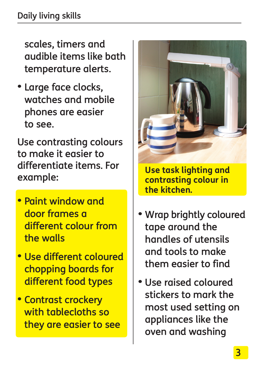scales, timers and audible items like bath temperature alerts.

• Large face clocks, watches and mobile phones are easier to see.

Use contrasting colours to make it easier to differentiate items. For example:

- Paint window and door frames a different colour from the walls
- Use different coloured chopping boards for different food types
- Contrast crockery with tablecloths so they are easier to see



**Use task lighting and contrasting colour in the kitchen.**

- Wrap brightly coloured tape around the handles of utensils and tools to make them easier to find
- Use raised coloured stickers to mark the most used setting on appliances like the oven and washing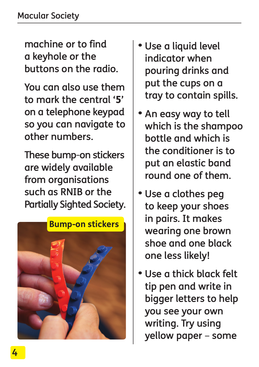machine or to find a keyhole or the buttons on the radio.

You can also use them to mark the central '5' on a telephone keypad so you can navigate to other numbers.

These bump-on stickers are widely available from organisations such as RNIB or the Partially Sighted Society.



- Use a liquid level indicator when pouring drinks and put the cups on a tray to contain spills.
- An easy way to tell which is the shampoo bottle and which is the conditioner is to put an elastic band round one of them.
- Use a clothes peg to keep your shoes in pairs. It makes wearing one brown shoe and one black one less likely!
- Use a thick black felt tip pen and write in bigger letters to help you see your own writing. Try using yellow paper – some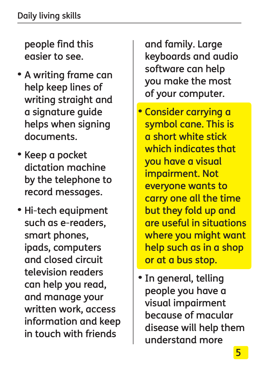people find this easier to see.

- A writing frame can help keep lines of writing straight and a signature guide helps when signing documents.
- Keep a pocket dictation machine by the telephone to record messages.
- Hi-tech equipment such as e-readers, smart phones, ipads, computers and closed circuit television readers can help you read, and manage your written work, access information and keep in touch with friends

and family. Large keyboards and audio software can help you make the most of your computer.

- Consider carrying a symbol cane. This is a short white stick which indicates that you have a visual impairment. Not everyone wants to carry one all the time but they fold up and are useful in situations where you might want help such as in a shop or at a bus stop.
- In general, telling people you have a visual impairment because of macular disease will help them understand more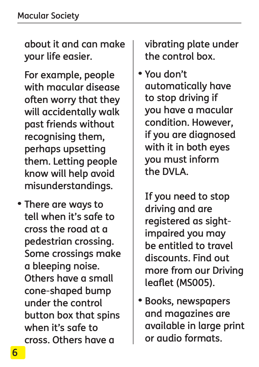about it and can make your life easier.

For example, people with macular disease often worry that they will accidentally walk past friends without recognising them, perhaps upsetting them. Letting people know will help avoid misunderstandings.

• There are ways to tell when it's safe to cross the road at a pedestrian crossing. Some crossings make a bleeping noise. Others have a small cone-shaped bump under the control button box that spins when it's safe to cross. Others have a

vibrating plate under the control box.

• You don't automatically have to stop driving if you have a macular condition. However, if you are diagnosed with it in both eyes you must inform the DVLA.

If you need to stop driving and are registered as sightimpaired you may be entitled to travel discounts. Find out more from our Driving leaflet (MS005).

• Books, newspapers and magazines are available in large print or audio formats.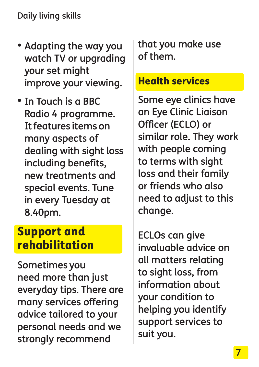- Adapting the way you watch TV or upgrading your set might improve your viewing.
- In Touch is a BBC Radio 4 programme. It features items on many aspects of dealing with sight loss including benefits, new treatments and special events. Tune in every Tuesday at 8.40pm.

## Support and rehabilitation

Sometimes you need more than just everyday tips. There are many services offering advice tailored to your personal needs and we strongly recommend

that you make use of them.

### Health services

Some eye clinics have an Eye Clinic Liaison Officer (ECLO) or similar role. They work with people coming to terms with sight loss and their family or friends who also need to adjust to this change.

ECLOs can give invaluable advice on all matters relating to sight loss, from information about your condition to helping you identify support services to suit you.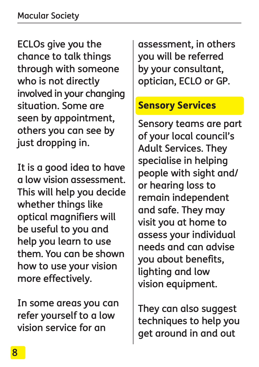ECLOs give you the chance to talk things through with someone who is not directly involved in your changing situation. Some are seen by appointment, others you can see by just dropping in.

It is a good idea to have a low vision assessment. This will help you decide whether things like optical magnifiers will be useful to you and help you learn to use them. You can be shown how to use your vision more effectively.

In some areas you can refer yourself to a low vision service for an

assessment, in others you will be referred by your consultant, optician, ECLO or GP.

## Sensory Services

Sensory teams are part of your local council's Adult Services. They specialise in helping people with sight and/ or hearing loss to remain independent and safe. They may visit you at home to assess your individual needs and can advise you about benefits, lighting and low vision equipment.

They can also suggest techniques to help you get around in and out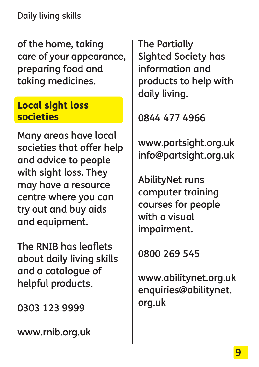of the home, taking care of your appearance, preparing food and taking medicines.

#### Local sight loss societies

Many areas have local societies that offer help and advice to people with sight loss. They may have a resource centre where you can try out and buy aids and equipment.

The RNIB has leaflets about daily living skills and a catalogue of helpful products.

0303 123 9999

www.rnib.org.uk

The Partially Sighted Society has information and products to help with daily living.

0844 477 4966

www.partsight.org.uk info@partsight.org.uk

AbilityNet runs computer training courses for people with a visual impairment.

0800 269 545

www.abilitynet.org.uk enquiries@abilitynet. org.uk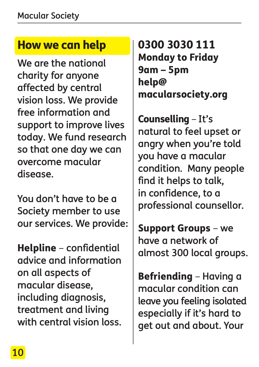## How we can help

We are the national charity for anyone affected by central vision loss. We provide free information and support to improve lives today. We fund research so that one day we can overcome macular disease.

You don't have to be a Society member to use our services. We provide:

Helpline – confidential advice and information on all aspects of macular disease, including diagnosis, treatment and living with central vision loss. 0300 3030 111 Monday to Friday 9am – 5pm help@ macularsociety.org

Counselling – It's natural to feel upset or angry when you're told you have a macular condition. Many people find it helps to talk, in confidence, to a professional counsellor.

Support Groups – we have a network of almost 300 local groups.

Befriending – Having a macular condition can leave you feeling isolated especially if it's hard to get out and about. Your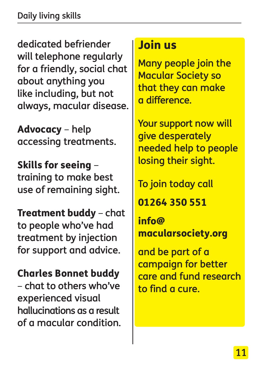dedicated befriender will telephone regularly for a friendly, social chat about anything you like including, but not always, macular disease.

Advocacy – help accessing treatments.

Skills for seeing – training to make best use of remaining sight.

Treatment buddy – chat to people who've had treatment by injection for support and advice.

#### Charles Bonnet buddy

– chat to others who've experienced visual hallucinations as a result of a macular condition.

## Join us

Many people join the Macular Society so that they can make a difference.

Your support now will give desperately needed help to people losing their sight.

To join today call

01264 350 551

info@ macularsociety.org

and be part of a campaign for better care and fund research to find a cure.